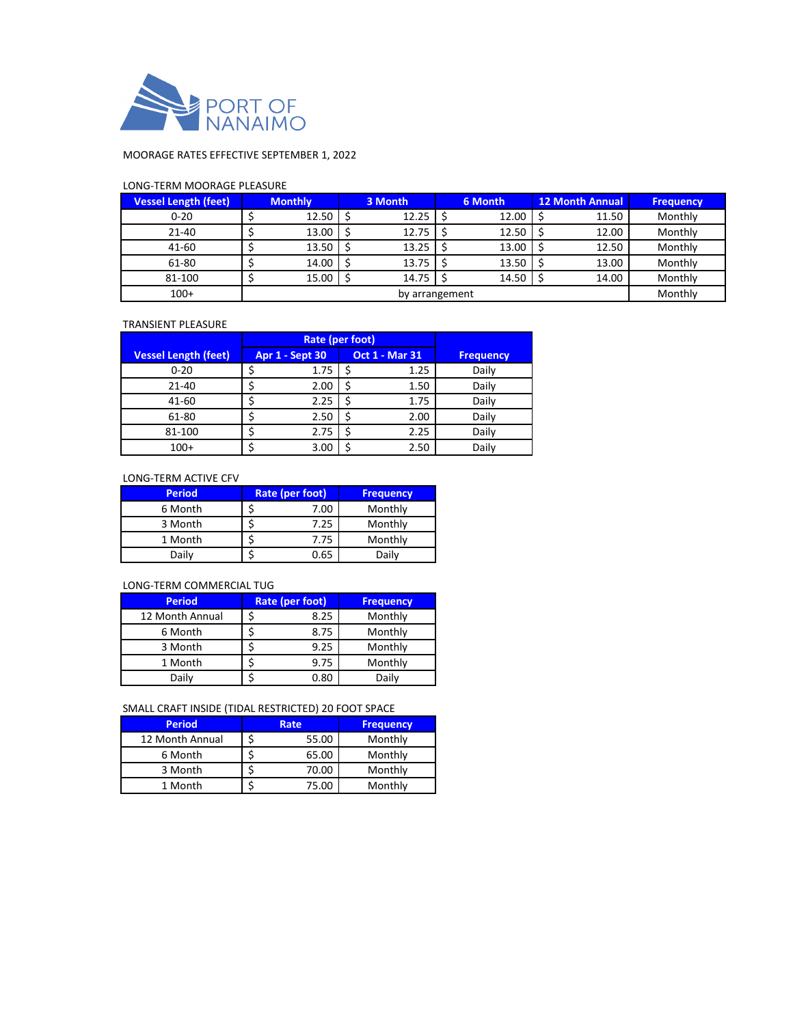

## MOORAGE RATES EFFECTIVE SEPTEMBER 1, 2022

## LONG-TERM MOORAGE PLEASURE

| <b>Vessel Length (feet)</b> |                | <b>Monthly</b> | 3 Month |       | 6 Month |       | <b>12 Month Annual</b> |       | <b>Frequency</b> |
|-----------------------------|----------------|----------------|---------|-------|---------|-------|------------------------|-------|------------------|
| $0 - 20$                    |                | 12.50          |         | 12.25 |         | 12.00 |                        | 11.50 | Monthly          |
| 21-40                       |                | 13.00          |         | 12.75 |         | 12.50 |                        | 12.00 | Monthly          |
| 41-60                       |                | 13.50          |         | 13.25 |         | 13.00 |                        | 12.50 | Monthly          |
| 61-80                       |                | 14.00          |         | 13.75 |         | 13.50 |                        | 13.00 | Monthly          |
| 81-100                      |                | 15.00          |         | 14.75 |         | 14.50 |                        | 14.00 | Monthly          |
| $100+$                      | by arrangement |                |         |       |         |       | Monthly                |       |                  |

#### TRANSIENT PLEASURE

|                             | Rate (per foot)        |                       |      |                  |
|-----------------------------|------------------------|-----------------------|------|------------------|
| <b>Vessel Length (feet)</b> | <b>Apr 1 - Sept 30</b> | <b>Oct 1 - Mar 31</b> |      | <b>Frequency</b> |
| $0 - 20$                    | 1.75                   |                       | 1.25 | Daily            |
| $21 - 40$                   | 2.00                   |                       | 1.50 | Daily            |
| 41-60                       | 2.25                   |                       | 1.75 | Daily            |
| 61-80                       | 2.50                   |                       | 2.00 | Daily            |
| 81-100                      | 2.75                   |                       | 2.25 | Daily            |
| $100+$                      | 3.00                   |                       | 2.50 | Daily            |

## LONG-TERM ACTIVE CFV

| <b>Period</b> | Rate (per foot) | <b>Frequency</b> |  |  |
|---------------|-----------------|------------------|--|--|
| 6 Month       | 7.00            | Monthly          |  |  |
| 3 Month       | 7.25            | Monthly          |  |  |
| 1 Month       | 7.75            | Monthly          |  |  |
| Daily         | 0.65            | Dailv            |  |  |

### LONG-TERM COMMERCIAL TUG

| <b>Period</b>   | Rate (per foot) | <b>Frequency</b> |  |
|-----------------|-----------------|------------------|--|
| 12 Month Annual | 8.25            | Monthly          |  |
| 6 Month         | 8.75            | Monthly          |  |
| 3 Month         | 9.25            | Monthly          |  |
| 1 Month         | 9.75            | Monthly          |  |
| Daily           | 0.80            | Daily            |  |

## SMALL CRAFT INSIDE (TIDAL RESTRICTED) 20 FOOT SPACE

| <b>Period</b>   |  | Rate  | <b>Frequency</b> |
|-----------------|--|-------|------------------|
| 12 Month Annual |  | 55.00 | Monthly          |
| 6 Month         |  | 65.00 | Monthly          |
| 3 Month         |  | 70.00 | Monthly          |
| 1 Month         |  | 75.00 | Monthly          |